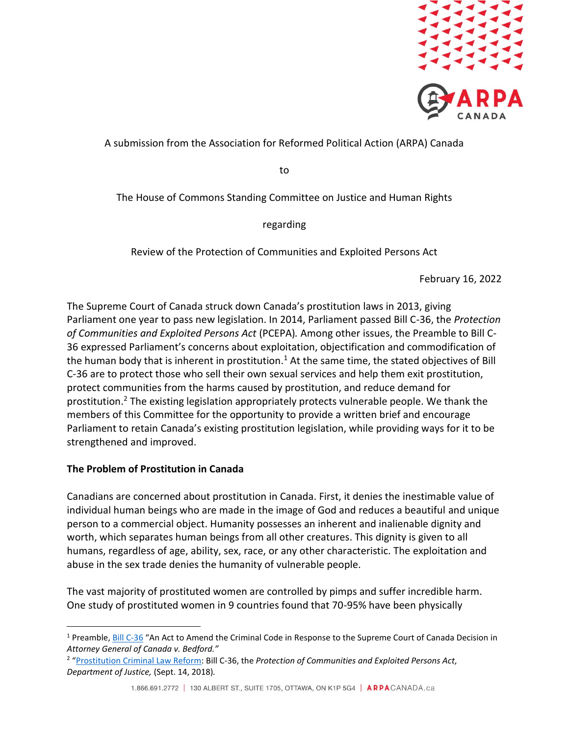

A submission from the Association for Reformed Political Action (ARPA) Canada

to

The House of Commons Standing Committee on Justice and Human Rights

regarding

Review of the Protection of Communities and Exploited Persons Act

February 16, 2022

The Supreme Court of Canada struck down Canada's prostitution laws in 2013, giving Parliament one year to pass new legislation. In 2014, Parliament passed Bill C-36, the *Protection of Communities and Exploited Persons Act* (PCEPA)*.* Among other issues, the Preamble to Bill C-36 expressed Parliament's concerns about exploitation, objectification and commodification of the human body that is inherent in prostitution.<sup>1</sup> At the same time, the stated objectives of Bill C-36 are to protect those who sell their own sexual services and help them exit prostitution, protect communities from the harms caused by prostitution, and reduce demand for prostitution.<sup>2</sup> The existing legislation appropriately protects vulnerable people. We thank the members of this Committee for the opportunity to provide a written brief and encourage Parliament to retain Canada's existing prostitution legislation, while providing ways for it to be strengthened and improved.

## **The Problem of Prostitution in Canada**

Canadians are concerned about prostitution in Canada. First, it denies the inestimable value of individual human beings who are made in the image of God and reduces a beautiful and unique person to a commercial object. Humanity possesses an inherent and inalienable dignity and worth, which separates human beings from all other creatures. This dignity is given to all humans, regardless of age, ability, sex, race, or any other characteristic. The exploitation and abuse in the sex trade denies the humanity of vulnerable people.

The vast majority of prostituted women are controlled by pimps and suffer incredible harm. One study of prostituted women in 9 countries found that 70-95% have been physically

<sup>&</sup>lt;sup>1</sup> Preamble, [Bill C-36](https://www.parl.ca/DocumentViewer/en/41-2/bill/C-36/royal-assent/page-27#1) "An Act to Amend the Criminal Code in Response to the Supreme Court of Canada Decision in *Attorney General of Canada v. Bedford."*

<sup>2</sup> "[Prostitution Criminal Law Reform:](https://www.justice.gc.ca/eng/rp-pr/other-autre/c36fs_fi/) Bill C-36, the *Protection of Communities and Exploited Persons Act, Department of Justice,* (Sept. 14, 2018)*.*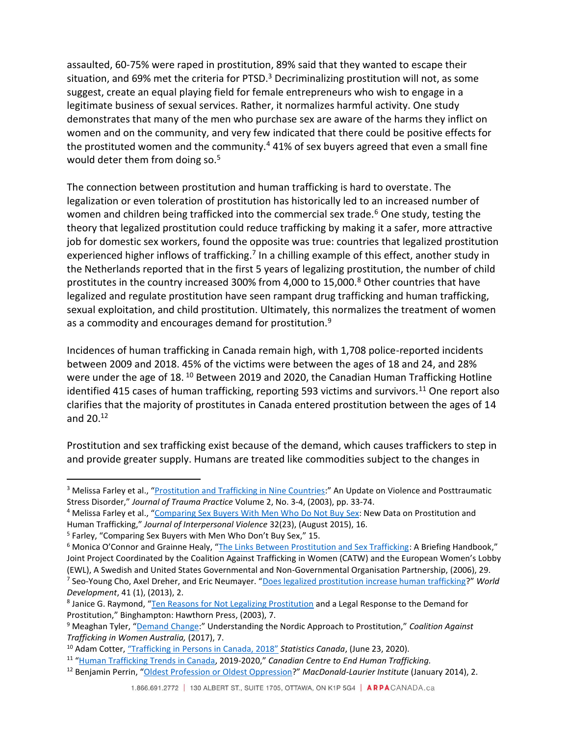assaulted, 60-75% were raped in prostitution, 89% said that they wanted to escape their situation, and 69% met the criteria for PTSD.<sup>3</sup> Decriminalizing prostitution will not, as some suggest, create an equal playing field for female entrepreneurs who wish to engage in a legitimate business of sexual services. Rather, it normalizes harmful activity. One study demonstrates that many of the men who purchase sex are aware of the harms they inflict on women and on the community, and very few indicated that there could be positive effects for the prostituted women and the community.<sup>4</sup> 41% of sex buyers agreed that even a small fine would deter them from doing so.<sup>5</sup>

The connection between prostitution and human trafficking is hard to overstate. The legalization or even toleration of prostitution has historically led to an increased number of women and children being trafficked into the commercial sex trade.<sup>6</sup> One study, testing the theory that legalized prostitution could reduce trafficking by making it a safer, more attractive job for domestic sex workers, found the opposite was true: countries that legalized prostitution experienced higher inflows of trafficking.<sup>7</sup> In a chilling example of this effect, another study in the Netherlands reported that in the first 5 years of legalizing prostitution, the number of child prostitutes in the country increased 300% from 4,000 to 15,000.<sup>8</sup> Other countries that have legalized and regulate prostitution have seen rampant drug trafficking and human trafficking, sexual exploitation, and child prostitution. Ultimately, this normalizes the treatment of women as a commodity and encourages demand for prostitution.<sup>9</sup>

Incidences of human trafficking in Canada remain high, with 1,708 police-reported incidents between 2009 and 2018. 45% of the victims were between the ages of 18 and 24, and 28% were under the age of 18.<sup>10</sup> Between 2019 and 2020, the Canadian Human Trafficking Hotline identified 415 cases of human trafficking, reporting 593 victims and survivors.<sup>11</sup> One report also clarifies that the majority of prostitutes in Canada entered prostitution between the ages of 14 and 20.<sup>12</sup>

Prostitution and sex trafficking exist because of the demand, which causes traffickers to step in and provide greater supply. Humans are treated like commodities subject to the changes in

<sup>&</sup>lt;sup>3</sup> Melissa Farley et al., "[Prostitution and Trafficking in Nine Countries:](https://www.researchgate.net/publication/254381847_Prostitution_and_Trafficking_in_Nine_Countries)" An Update on Violence and Posttraumatic Stress Disorder," *Journal of Trauma Practice* Volume 2, No. 3-4, (2003), pp. 33-74.

<sup>4</sup> Melissa Farley et al., "[Comparing Sex Buyers With Men Who Do Not Buy](https://www.researchgate.net/publication/281443339_Comparing_Sex_Buyers_With_Men_Who_Do_Not_Buy_Sex_New_Data_on_Prostitution_and_Trafficking) Sex: New Data on Prostitution and Human Trafficking," *Journal of Interpersonal Violence* 32(23), (August 2015), 16.

<sup>&</sup>lt;sup>5</sup> Farley, "Comparing Sex Buyers with Men Who Don't Buy Sex," 15.

<sup>6</sup> Monica O'Connor and Grainne Healy, "[The Links Between Prostitution and Sex Trafficking:](https://ec.europa.eu/anti-trafficking/links-between-prostitution-and-sex-trafficking-briefing-handbook_en) A Briefing Handbook," Joint Project Coordinated by the Coalition Against Trafficking in Women (CATW) and the European Women's Lobby (EWL), A Swedish and United States Governmental and Non-Governmental Organisation Partnership, (2006), 29. 7 Seo-Young Cho, Axel Dreher, and Eric Neumayer. "[Does legalized prostitution increase human trafficking](https://papers.ssrn.com/sol3/papers.cfm?abstract_id=1986065)?" *World Development*, 41 (1), (2013), 2.

<sup>&</sup>lt;sup>8</sup> Janice G. Raymond, "[Ten Reasons for Not Legalizing Prostitution](https://catwinternational.org/wp-content/uploads/2019/09/Ten-Reasons-for-NOT-Legalizing-Prostitution.pdf) and a Legal Response to the Demand for Prostitution," Binghampton: Hawthorn Press, (2003), 7.

<sup>9</sup> Meaghan Tyler, "[Demand Change:](https://www.catwa.org.au/catwa-publications/nordic-model-pamphlet-2/)" Understanding the Nordic Approach to Prostitution," *Coalition Against Trafficking in Women Australia,* (2017), 7.

<sup>10</sup> Adam Cotter, ["Trafficking in Persons in Canada,](https://www150.statcan.gc.ca/n1/pub/85-002-x/2020001/article/00006-eng.htm) 2018" *Statistics Canada*, (June 23, 2020).

<sup>&</sup>lt;sup>11</sup> "[Human Trafficking Trends in Canada,](https://www.canadiancentretoendhumantrafficking.ca/human-trafficking-trends-in-canada-2019-2020/) 2019-2020," Canadian Centre to End Human Trafficking.

<sup>12</sup> Benjamin Perrin, "[Oldest Profession or Oldest Oppression](https://www.macdonaldlaurier.ca/files/pdf/MLIPerrinPaper01-14-final-Web-Ready.pdf)?" *MacDonald-Laurier Institute* (January 2014), 2.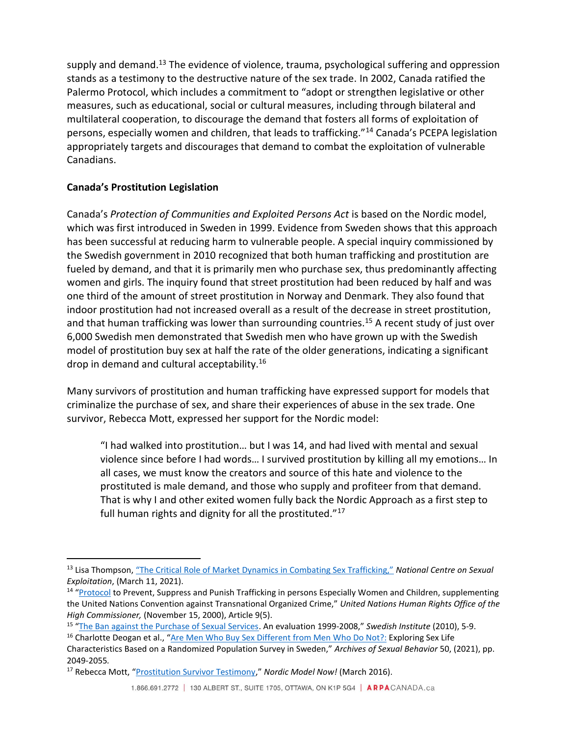supply and demand.<sup>13</sup> The evidence of violence, trauma, psychological suffering and oppression stands as a testimony to the destructive nature of the sex trade. In 2002, Canada ratified the Palermo Protocol, which includes a commitment to "adopt or strengthen legislative or other measures, such as educational, social or cultural measures, including through bilateral and multilateral cooperation, to discourage the demand that fosters all forms of exploitation of persons, especially women and children, that leads to trafficking."<sup>14</sup> Canada's PCEPA legislation appropriately targets and discourages that demand to combat the exploitation of vulnerable Canadians.

## **Canada's Prostitution Legislation**

Canada's *Protection of Communities and Exploited Persons Act* is based on the Nordic model, which was first introduced in Sweden in 1999. Evidence from Sweden shows that this approach has been successful at reducing harm to vulnerable people. A special inquiry commissioned by the Swedish government in 2010 recognized that both human trafficking and prostitution are fueled by demand, and that it is primarily men who purchase sex, thus predominantly affecting women and girls. The inquiry found that street prostitution had been reduced by half and was one third of the amount of street prostitution in Norway and Denmark. They also found that indoor prostitution had not increased overall as a result of the decrease in street prostitution, and that human trafficking was lower than surrounding countries.<sup>15</sup> A recent study of just over 6,000 Swedish men demonstrated that Swedish men who have grown up with the Swedish model of prostitution buy sex at half the rate of the older generations, indicating a significant drop in demand and cultural acceptability.<sup>16</sup>

Many survivors of prostitution and human trafficking have expressed support for models that criminalize the purchase of sex, and share their experiences of abuse in the sex trade. One survivor, Rebecca Mott, expressed her support for the Nordic model:

"I had walked into prostitution… but I was 14, and had lived with mental and sexual violence since before I had words… I survived prostitution by killing all my emotions… In all cases, we must know the creators and source of this hate and violence to the prostituted is male demand, and those who supply and profiteer from that demand. That is why I and other exited women fully back the Nordic Approach as a first step to full human rights and dignity for all the prostituted." $17$ 

<sup>13</sup> Lisa Thompson, ["The Critical Role of Market Dynamics in Combating Sex Trafficking,"](https://endsexualexploitation.org/articles/demand-for-prostitution-the-critical-role-of-market-dynamics-in-combating-sex-trafficking/) *National Centre on Sexual Exploitation*, (March 11, 2021).

<sup>&</sup>lt;sup>14</sup> "[Protocol](https://www.ohchr.org/en/professionalinterest/pages/protocoltraffickinginpersons.aspx) to Prevent, Suppress and Punish Trafficking in persons Especially Women and Children, supplementing the United Nations Convention against Transnational Organized Crime," *United Nations Human Rights Office of the High Commissioner,* (November 15, 2000), Article 9(5).

<sup>15</sup> "[The Ban against the Purchase of Sexual Services.](https://ec.europa.eu/anti-trafficking/ban-against-purchase-sexual-services-evaluation-1999-2008_en) An evaluation 1999-2008," *Swedish Institute* (2010), 5-9.

<sup>&</sup>lt;sup>16</sup> Charlotte Deogan et al., "[Are Men Who Buy Sex Different from Men Who Do Not?:](https://link.springer.com/article/10.1007/s10508-020-01843-3) Exploring Sex Life

Characteristics Based on a Randomized Population Survey in Sweden," *Archives of Sexual Behavior* 50, (2021), pp. 2049-2055*.* 

<sup>17</sup> Rebecca Mott, "[Prostitution Survivor Testimony](https://nordicmodelnow.org/testimonial/rebecca-mott/)," *Nordic Model Now!* (March 2016).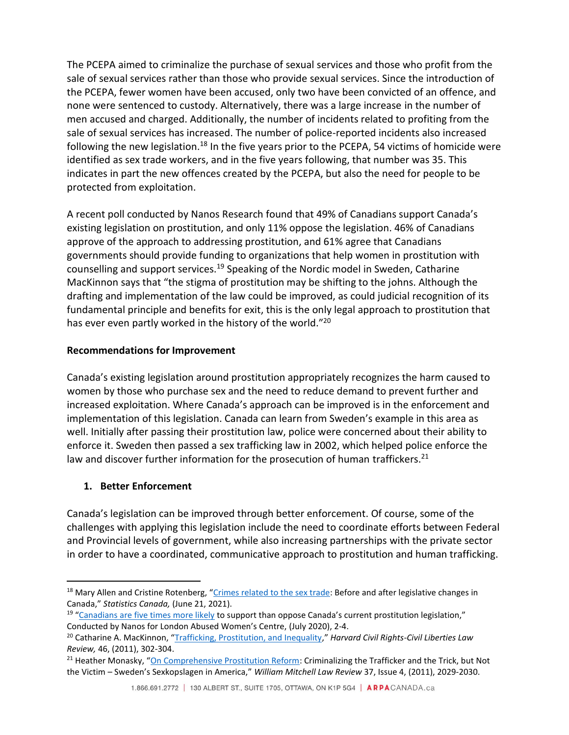The PCEPA aimed to criminalize the purchase of sexual services and those who profit from the sale of sexual services rather than those who provide sexual services. Since the introduction of the PCEPA, fewer women have been accused, only two have been convicted of an offence, and none were sentenced to custody. Alternatively, there was a large increase in the number of men accused and charged. Additionally, the number of incidents related to profiting from the sale of sexual services has increased. The number of police-reported incidents also increased following the new legislation.<sup>18</sup> In the five years prior to the PCEPA, 54 victims of homicide were identified as sex trade workers, and in the five years following, that number was 35. This indicates in part the new offences created by the PCEPA, but also the need for people to be protected from exploitation.

A recent poll conducted by Nanos Research found that 49% of Canadians support Canada's existing legislation on prostitution, and only 11% oppose the legislation. 46% of Canadians approve of the approach to addressing prostitution, and 61% agree that Canadians governments should provide funding to organizations that help women in prostitution with counselling and support services.<sup>19</sup> Speaking of the Nordic model in Sweden, Catharine MacKinnon says that "the stigma of prostitution may be shifting to the johns. Although the drafting and implementation of the law could be improved, as could judicial recognition of its fundamental principle and benefits for exit, this is the only legal approach to prostitution that has ever even partly worked in the history of the world."<sup>20</sup>

## **Recommendations for Improvement**

Canada's existing legislation around prostitution appropriately recognizes the harm caused to women by those who purchase sex and the need to reduce demand to prevent further and increased exploitation. Where Canada's approach can be improved is in the enforcement and implementation of this legislation. Canada can learn from Sweden's example in this area as well. Initially after passing their prostitution law, police were concerned about their ability to enforce it. Sweden then passed a sex trafficking law in 2002, which helped police enforce the law and discover further information for the prosecution of human traffickers.<sup>21</sup>

# **1. Better Enforcement**

Canada's legislation can be improved through better enforcement. Of course, some of the challenges with applying this legislation include the need to coordinate efforts between Federal and Provincial levels of government, while also increasing partnerships with the private sector in order to have a coordinated, communicative approach to prostitution and human trafficking.

<sup>&</sup>lt;sup>18</sup> Mary Allen and Cristine Rotenberg, "[Crimes related to the sex trade:](https://www150.statcan.gc.ca/n1/pub/85-002-x/2021001/article/00010-eng.htm) Before and after legislative changes in Canada," *Statistics Canada,* (June 21, 2021).

<sup>&</sup>lt;sup>19</sup> "[Canadians are five times more likely](https://www.nanos.co/wp-content/uploads/2020/08/2020-1689-LAWC-July-Populated-Report-FINAL-Updated-with-Tabs.pdf) to support than oppose Canada's current prostitution legislation," Conducted by Nanos for London Abused Women's Centre, (July 2020), 2-4.

<sup>20</sup> Catharine A. MacKinnon, "[Trafficking, Prostitution, and Inequality](https://prostitutionresearch.com/trafficking-prostitution-and-inequality/)," *Harvard Civil Rights-Civil Liberties Law Review,* 46, (2011), 302-304.

<sup>&</sup>lt;sup>21</sup> Heather Monasky, "[On Comprehensive Prostitution Reform:](https://papers.ssrn.com/sol3/papers.cfm?abstract_id=1741583) Criminalizing the Trafficker and the Trick, but Not the Victim – Sweden's Sexkopslagen in America," *William Mitchell Law Review* 37, Issue 4, (2011), 2029-2030.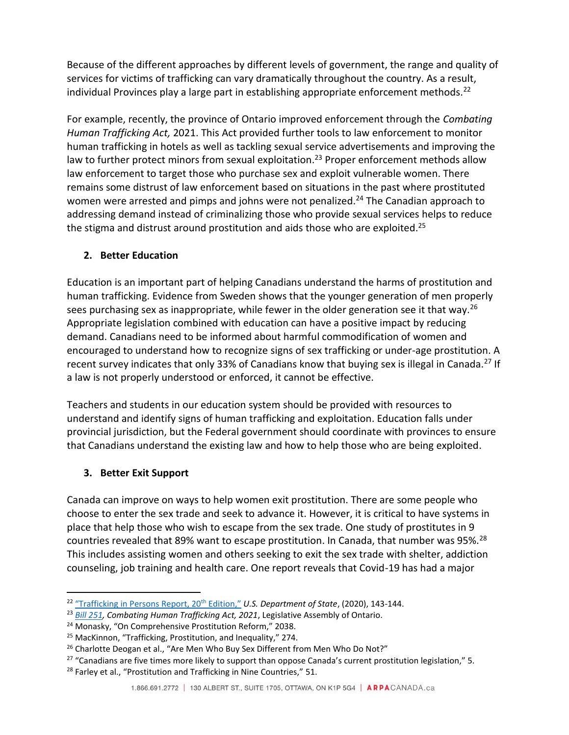Because of the different approaches by different levels of government, the range and quality of services for victims of trafficking can vary dramatically throughout the country. As a result, individual Provinces play a large part in establishing appropriate enforcement methods.<sup>22</sup>

For example, recently, the province of Ontario improved enforcement through the *Combating Human Trafficking Act,* 2021. This Act provided further tools to law enforcement to monitor human trafficking in hotels as well as tackling sexual service advertisements and improving the law to further protect minors from sexual exploitation.<sup>23</sup> Proper enforcement methods allow law enforcement to target those who purchase sex and exploit vulnerable women. There remains some distrust of law enforcement based on situations in the past where prostituted women were arrested and pimps and johns were not penalized.<sup>24</sup> The Canadian approach to addressing demand instead of criminalizing those who provide sexual services helps to reduce the stigma and distrust around prostitution and aids those who are exploited.<sup>25</sup>

## **2. Better Education**

Education is an important part of helping Canadians understand the harms of prostitution and human trafficking. Evidence from Sweden shows that the younger generation of men properly sees purchasing sex as inappropriate, while fewer in the older generation see it that way.<sup>26</sup> Appropriate legislation combined with education can have a positive impact by reducing demand. Canadians need to be informed about harmful commodification of women and encouraged to understand how to recognize signs of sex trafficking or under-age prostitution. A recent survey indicates that only 33% of Canadians know that buying sex is illegal in Canada.<sup>27</sup> If a law is not properly understood or enforced, it cannot be effective.

Teachers and students in our education system should be provided with resources to understand and identify signs of human trafficking and exploitation. Education falls under provincial jurisdiction, but the Federal government should coordinate with provinces to ensure that Canadians understand the existing law and how to help those who are being exploited.

## **3. Better Exit Support**

Canada can improve on ways to help women exit prostitution. There are some people who choose to enter the sex trade and seek to advance it. However, it is critical to have systems in place that help those who wish to escape from the sex trade. One study of prostitutes in 9 countries revealed that 89% want to escape prostitution. In Canada, that number was 95%.<sup>28</sup> This includes assisting women and others seeking to exit the sex trade with shelter, addiction counseling, job training and health care. One report reveals that Covid-19 has had a major

<sup>&</sup>lt;sup>22</sup> ["Trafficking in Persons Report, 20](https://www.state.gov/wp-content/uploads/2020/06/2020-TIP-Report-Complete-062420-FINAL.pdf)<sup>th</sup> Edition," U.S. Department of State, (2020), 143-144.

<sup>23</sup> *[Bill 251,](https://www.ola.org/en/legislative-business/bills/parliament-42/session-1/bill-251) Combating Human Trafficking Act, 2021*, Legislative Assembly of Ontario.

<sup>24</sup> Monasky, "On Comprehensive Prostitution Reform," 2038.

<sup>&</sup>lt;sup>25</sup> MacKinnon, "Trafficking, Prostitution, and Inequality," 274.

<sup>&</sup>lt;sup>26</sup> Charlotte Deogan et al., "Are Men Who Buy Sex Different from Men Who Do Not?"

 $27$  "Canadians are five times more likely to support than oppose Canada's current prostitution legislation," 5.

<sup>&</sup>lt;sup>28</sup> Farley et al., "Prostitution and Trafficking in Nine Countries," 51.